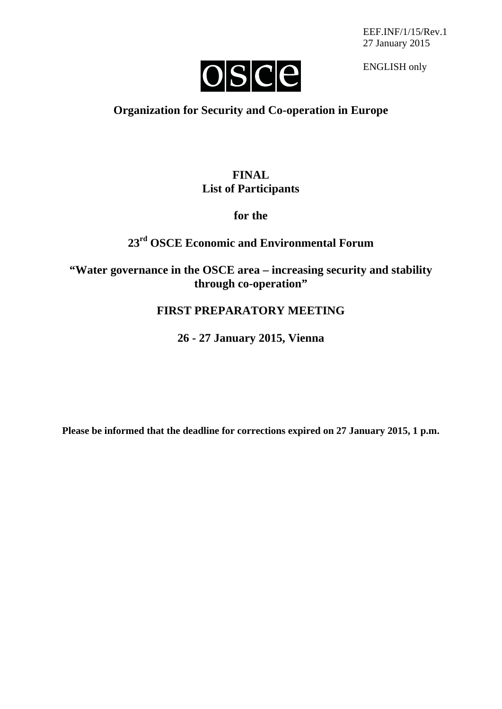EEF.INF/1/15/Rev.1 27 January 2015



ENGLISH only

## **Organization for Security and Co-operation in Europe**

## **FINAL List of Participants**

### **for the**

# **23rd OSCE Economic and Environmental Forum**

**"Water governance in the OSCE area – increasing security and stability through co-operation"**

## **FIRST PREPARATORY MEETING**

**26 - 27 January 2015, Vienna**

**Please be informed that the deadline for corrections expired on 27 January 2015, 1 p.m.**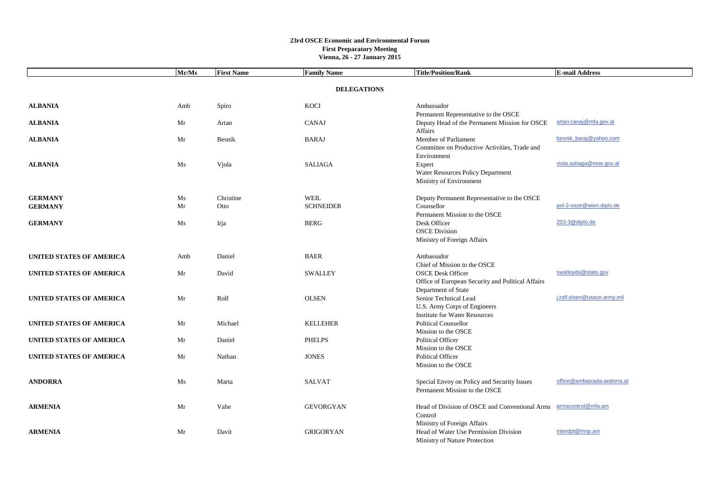|                                 | Mr/Ms | <b>First Name</b> | <b>Family Name</b> | <b>Title/Position/Rank</b>                        | <b>E-mail Address</b>       |  |  |
|---------------------------------|-------|-------------------|--------------------|---------------------------------------------------|-----------------------------|--|--|
| <b>DELEGATIONS</b>              |       |                   |                    |                                                   |                             |  |  |
|                                 |       |                   |                    |                                                   |                             |  |  |
| <b>ALBANIA</b>                  | Amb   | Spiro             | KOCI               | Ambassador                                        |                             |  |  |
|                                 |       |                   |                    | Permanent Representative to the OSCE              |                             |  |  |
| <b>ALBANIA</b>                  | Mr    | Artan             | CANAJ              | Deputy Head of the Permanent Mission for OSCE     | artan.canaj@mfa.gov.al      |  |  |
|                                 |       |                   |                    | Affairs                                           |                             |  |  |
| <b>ALBANIA</b>                  | Mr    | Besnik            | <b>BARAJ</b>       | Member of Parliament                              | besnik baraj@yahoo.com      |  |  |
|                                 |       |                   |                    | Committee on Productive Activities, Trade and     |                             |  |  |
|                                 |       |                   |                    | Environment                                       |                             |  |  |
| <b>ALBANIA</b>                  | Ms    | Vjola             | <b>SALIAGA</b>     | Expert                                            | viola.saliaga@moe.gov.al    |  |  |
|                                 |       |                   |                    | Water Resources Policy Department                 |                             |  |  |
|                                 |       |                   |                    | Ministry of Environment                           |                             |  |  |
| <b>GERMANY</b>                  | Ms    | Christine         | <b>WEIL</b>        | Deputy Permanent Representative to the OSCE       |                             |  |  |
| <b>GERMANY</b>                  | Mr    | Otto              | <b>SCHNEIDER</b>   | Counsellor                                        | pol-2-osze@wien.diplo.de    |  |  |
|                                 |       |                   |                    | Permanent Mission to the OSCE                     |                             |  |  |
| <b>GERMANY</b>                  | Ms    | Irja              | <b>BERG</b>        | Desk Officer                                      | 203-3@diplo.de              |  |  |
|                                 |       |                   |                    | <b>OSCE Division</b>                              |                             |  |  |
|                                 |       |                   |                    | Ministry of Foreign Affairs                       |                             |  |  |
|                                 |       |                   |                    |                                                   |                             |  |  |
| UNITED STATES OF AMERICA        | Amb   | Daniel            | <b>BAER</b>        | Ambassador<br>Chief of Mission to the OSCE        |                             |  |  |
| <b>UNITED STATES OF AMERICA</b> | Mr    | David             | <b>SWALLEY</b>     | <b>OSCE Desk Officer</b>                          | swalleyda@state.gov         |  |  |
|                                 |       |                   |                    | Office of European Security and Political Affairs |                             |  |  |
|                                 |       |                   |                    | Department of State                               |                             |  |  |
| <b>UNITED STATES OF AMERICA</b> | Mr    | Rolf              | <b>OLSEN</b>       | Senior Technical Lead                             | j.rolf.olsen@usace.army.mil |  |  |
|                                 |       |                   |                    | U.S. Army Corps of Engineers                      |                             |  |  |
|                                 |       |                   |                    | <b>Institute for Water Resources</b>              |                             |  |  |
| <b>UNITED STATES OF AMERICA</b> | Mr    | Michael           | <b>KELLEHER</b>    | <b>Political Counsellor</b>                       |                             |  |  |
|                                 |       |                   |                    | Mission to the OSCE                               |                             |  |  |
| <b>UNITED STATES OF AMERICA</b> | Mr    | Daniel            | <b>PHELPS</b>      | <b>Political Officer</b>                          |                             |  |  |
|                                 |       |                   |                    | Mission to the OSCE                               |                             |  |  |
| <b>UNITED STATES OF AMERICA</b> | Mr    | Nathan            | <b>JONES</b>       | <b>Political Officer</b>                          |                             |  |  |
|                                 |       |                   |                    | Mission to the OSCE                               |                             |  |  |
| <b>ANDORRA</b>                  | Ms    | Marta             | <b>SALVAT</b>      | Special Envoy on Policy and Security Issues       | office@ambaixada-andorra.at |  |  |
|                                 |       |                   |                    | Permanent Mission to the OSCE                     |                             |  |  |
| <b>ARMENIA</b>                  | Mr    | Vahe              | <b>GEVORGYAN</b>   | Head of Division of OSCE and Conventional Arms    | armscontrol@mfa.am          |  |  |
|                                 |       |                   |                    | Control                                           |                             |  |  |
|                                 |       |                   |                    | Ministry of Foreign Affairs                       |                             |  |  |
| <b>ARMENIA</b>                  | Mr    | Davit             | <b>GRIGORYAN</b>   | Head of Water Use Permission Division             | interdpt@mnp.am             |  |  |
|                                 |       |                   |                    | Ministry of Nature Protection                     |                             |  |  |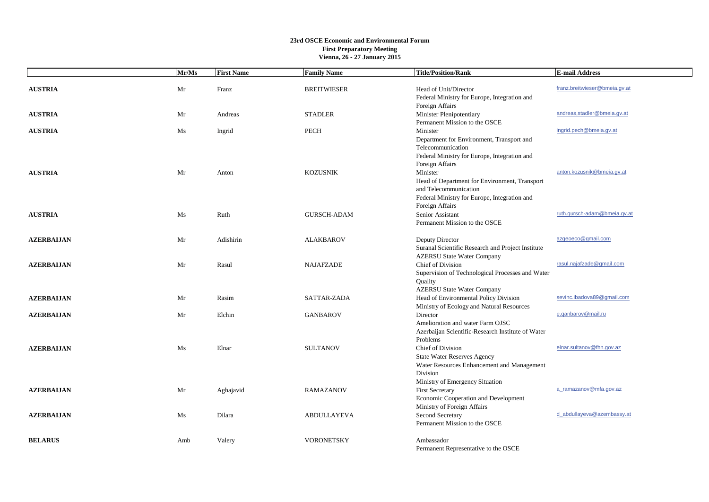|                   | Mr/Ms | <b>First Name</b> | <b>Family Name</b> | <b>Title/Position/Rank</b>                                                                                                                    | <b>E-mail Address</b>         |
|-------------------|-------|-------------------|--------------------|-----------------------------------------------------------------------------------------------------------------------------------------------|-------------------------------|
| <b>AUSTRIA</b>    | Mr    | Franz             | <b>BREITWIESER</b> | Head of Unit/Director<br>Federal Ministry for Europe, Integration and                                                                         | franz.breitwieser@bmeia.gv.at |
| <b>AUSTRIA</b>    | Mr    | Andreas           | <b>STADLER</b>     | Foreign Affairs<br>Minister Plenipotentiary<br>Permanent Mission to the OSCE                                                                  | andreas, stadler@bmeia.gv.at  |
| <b>AUSTRIA</b>    | Ms    | Ingrid            | <b>PECH</b>        | Minister                                                                                                                                      | ingrid.pech@bmeia.gv.at       |
| <b>AUSTRIA</b>    | Mr    | Anton             | <b>KOZUSNIK</b>    | Department for Environment, Transport and<br>Telecommunication<br>Federal Ministry for Europe, Integration and<br>Foreign Affairs<br>Minister | anton.kozusnik@bmeia.gv.at    |
|                   |       |                   |                    | Head of Department for Environment, Transport<br>and Telecommunication<br>Federal Ministry for Europe, Integration and<br>Foreign Affairs     |                               |
| <b>AUSTRIA</b>    | Ms    | Ruth              | <b>GURSCH-ADAM</b> | Senior Assistant<br>Permanent Mission to the OSCE                                                                                             | ruth.qursch-adam@bmeia.qv.at  |
| <b>AZERBALJAN</b> | Mr    | Adishirin         | <b>ALAKBAROV</b>   | Deputy Director<br>Suranal Scientific Research and Project Institute<br><b>AZERSU State Water Company</b>                                     | azgeoeco@gmail.com            |
| <b>AZERBALJAN</b> | Mr    | Rasul             | <b>NAJAFZADE</b>   | Chief of Division<br>Supervision of Technological Processes and Water<br>Quality<br><b>AZERSU State Water Company</b>                         | rasul.najafzade@gmail.com     |
| <b>AZERBALJAN</b> | Mr    | Rasim             | SATTAR-ZADA        | Head of Environmental Policy Division<br>Ministry of Ecology and Natural Resources                                                            | sevinc.ibadova89@qmail.com    |
| <b>AZERBALJAN</b> | Mr    | Elchin            | <b>GANBAROV</b>    | Director                                                                                                                                      | e.ganbarov@mail.ru            |
|                   |       |                   |                    | Amelioration and water Farm OJSC<br>Azerbaijan Scientific-Research Institute of Water<br>Problems                                             |                               |
| <b>AZERBALJAN</b> | Ms    | Elnar             | <b>SULTANOV</b>    | Chief of Division<br><b>State Water Reserves Agency</b><br>Water Resources Enhancement and Management<br>Division                             | elnar.sultanov@fhn.gov.az     |
| <b>AZERBALJAN</b> | Mr    | Aghajavid         | <b>RAMAZANOV</b>   | Ministry of Emergency Situation<br><b>First Secretary</b><br>Economic Cooperation and Development<br>Ministry of Foreign Affairs              | a_ramazanov@mfa.gov.az        |
| <b>AZERBALJAN</b> | Ms    | Dilara            | <b>ABDULLAYEVA</b> | Second Secretary<br>Permanent Mission to the OSCE                                                                                             | d abdullayeva@azembassy.at    |
| <b>BELARUS</b>    | Amb   | Valery            | <b>VORONETSKY</b>  | Ambassador<br>Permanent Representative to the OSCE                                                                                            |                               |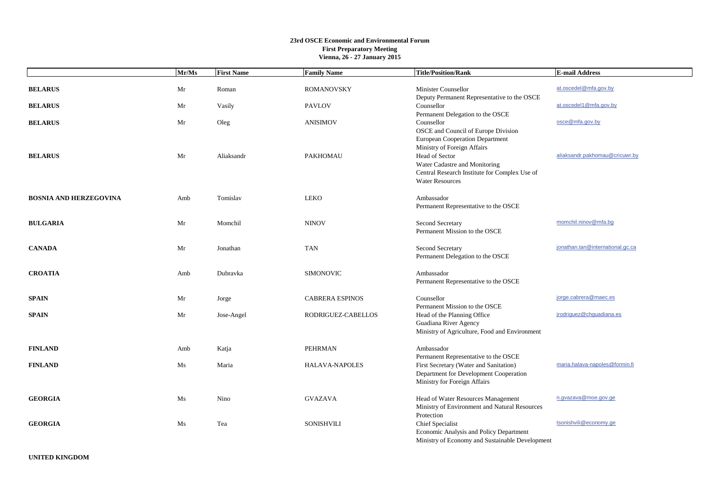|                               | $\overline{\mathbf{M}}$ r/Ms | <b>First Name</b> | <b>Family Name</b>     | <b>Title/Position/Rank</b>                                                                                                                                                                   | <b>E-mail Address</b>            |
|-------------------------------|------------------------------|-------------------|------------------------|----------------------------------------------------------------------------------------------------------------------------------------------------------------------------------------------|----------------------------------|
| <b>BELARUS</b>                | Mr                           | Roman             | <b>ROMANOVSKY</b>      | <b>Minister Counsellor</b><br>Deputy Permanent Representative to the OSCE                                                                                                                    | at.oscedel@mfa.gov.by            |
| <b>BELARUS</b>                | Mr                           | Vasily            | <b>PAVLOV</b>          | Counsellor                                                                                                                                                                                   | at.oscedel1@mfa.gov.by           |
| <b>BELARUS</b>                | Mr                           | Oleg              | <b>ANISIMOV</b>        | Permanent Delegation to the OSCE<br>Counsellor<br>OSCE and Council of Europe Division                                                                                                        | osce@mfa.gov.by                  |
| <b>BELARUS</b>                | Mr                           | Aliaksandr        | <b>PAKHOMAU</b>        | European Cooperation Department<br>Ministry of Foreign Affairs<br>Head of Sector<br>Water Cadastre and Monitoring<br>Central Research Institute for Complex Use of<br><b>Water Resources</b> | aliaksandr.pakhomau@cricuwr.by   |
| <b>BOSNIA AND HERZEGOVINA</b> | Amb                          | Tomislav          | <b>LEKO</b>            | Ambassador<br>Permanent Representative to the OSCE                                                                                                                                           |                                  |
| <b>BULGARIA</b>               | Mr                           | Momchil           | <b>NINOV</b>           | Second Secretary<br>Permanent Mission to the OSCE                                                                                                                                            | momchil.ninov@mfa.bq             |
| <b>CANADA</b>                 | Mr                           | Jonathan          | <b>TAN</b>             | Second Secretary<br>Permanent Delegation to the OSCE                                                                                                                                         | jonathan.tan@international.gc.ca |
| <b>CROATIA</b>                | Amb                          | Dubravka          | <b>SIMONOVIC</b>       | Ambassador<br>Permanent Representative to the OSCE                                                                                                                                           |                                  |
| <b>SPAIN</b>                  | Mr                           | Jorge             | <b>CABRERA ESPINOS</b> | Counsellor                                                                                                                                                                                   | jorge.cabrera@maec.es            |
| <b>SPAIN</b>                  | Mr                           | Jose-Angel        | RODRIGUEZ-CABELLOS     | Permanent Mission to the OSCE<br>Head of the Planning Office<br>Guadiana River Agency<br>Ministry of Agriculture, Food and Environment                                                       | jrodriguez@chquadiana.es         |
| <b>FINLAND</b>                | Amb                          | Katja             | <b>PEHRMAN</b>         | Ambassador<br>Permanent Representative to the OSCE                                                                                                                                           |                                  |
| <b>FINLAND</b>                | Ms                           | Maria             | HALAVA-NAPOLES         | First Secretary (Water and Sanitation)<br>Department for Development Cooperation<br>Ministry for Foreign Affairs                                                                             | maria.halava-napoles@formin.fi   |
| <b>GEORGIA</b>                | Ms                           | Nino              | <b>GVAZAVA</b>         | Head of Water Resources Management<br>Ministry of Environment and Natural Resources<br>Protection                                                                                            | n.gvazava@moe.gov.ge             |
| <b>GEORGIA</b>                | Ms                           | Tea               | <b>SONISHVILI</b>      | Chief Specialist<br>Economic Analysis and Policy Department<br>Ministry of Economy and Sustainable Development                                                                               | tsonishvili@economy.ge           |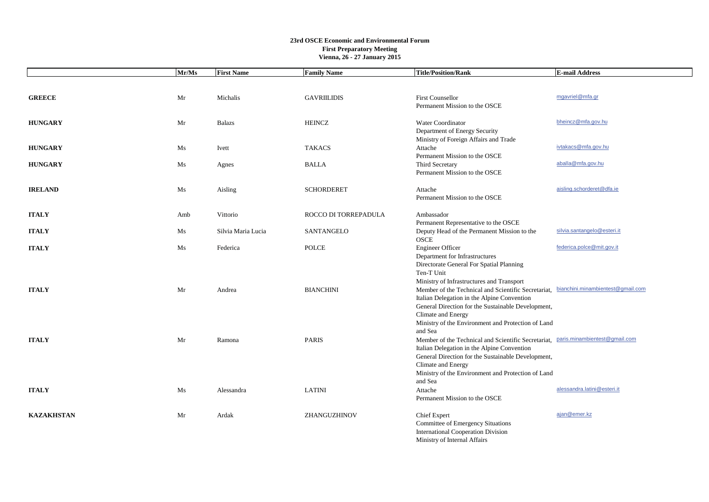|                   | Mr/Ms | <b>First Name</b>  | <b>Family Name</b>   | <b>Title/Position/Rank</b>                                                                   | <b>E-mail Address</b>       |
|-------------------|-------|--------------------|----------------------|----------------------------------------------------------------------------------------------|-----------------------------|
|                   |       |                    |                      |                                                                                              |                             |
| <b>GREECE</b>     | Mr    | Michalis           | <b>GAVRIILIDIS</b>   | <b>First Counsellor</b>                                                                      | mgavriel@mfa.gr             |
|                   |       |                    |                      | Permanent Mission to the OSCE                                                                |                             |
| <b>HUNGARY</b>    | Mr    | <b>Balazs</b>      | <b>HEINCZ</b>        | Water Coordinator                                                                            | bheincz@mfa.gov.hu          |
|                   |       |                    |                      | Department of Energy Security                                                                |                             |
|                   |       |                    |                      | Ministry of Foreign Affairs and Trade                                                        |                             |
| <b>HUNGARY</b>    | Ms    | Ivett              | <b>TAKACS</b>        | Attache<br>Permanent Mission to the OSCE                                                     | ivtakacs@mfa.gov.hu         |
| <b>HUNGARY</b>    | Ms    | Agnes              | <b>BALLA</b>         | Third Secretary                                                                              | aballa@mfa.gov.hu           |
|                   |       |                    |                      | Permanent Mission to the OSCE                                                                |                             |
| <b>IRELAND</b>    | Ms    | Aisling            | <b>SCHORDERET</b>    | Attache                                                                                      | aisling.schorderet@dfa.ie   |
|                   |       |                    |                      | Permanent Mission to the OSCE                                                                |                             |
| <b>ITALY</b>      | Amb   | Vittorio           | ROCCO DI TORREPADULA | Ambassador                                                                                   |                             |
|                   |       |                    |                      | Permanent Representative to the OSCE                                                         |                             |
| <b>ITALY</b>      | Ms    | Silvia Maria Lucia | SANTANGELO           | Deputy Head of the Permanent Mission to the<br><b>OSCE</b>                                   | silvia.santangelo@esteri.it |
| <b>ITALY</b>      | Ms    | Federica           | <b>POLCE</b>         | <b>Engineer Officer</b>                                                                      | federica.polce@mit.gov.it   |
|                   |       |                    |                      | Department for Infrastructures                                                               |                             |
|                   |       |                    |                      | Directorate General For Spatial Planning                                                     |                             |
|                   |       |                    |                      | Ten-T Unit<br>Ministry of Infrastructures and Transport                                      |                             |
| <b>ITALY</b>      | Mr    | Andrea             | <b>BIANCHINI</b>     | Member of the Technical and Scientific Secretariat, bianchini.minambientest@gmail.com        |                             |
|                   |       |                    |                      | Italian Delegation in the Alpine Convention                                                  |                             |
|                   |       |                    |                      | General Direction for the Sustainable Development,                                           |                             |
|                   |       |                    |                      | Climate and Energy                                                                           |                             |
|                   |       |                    |                      | Ministry of the Environment and Protection of Land                                           |                             |
| <b>ITALY</b>      | Mr    | Ramona             | <b>PARIS</b>         | and Sea<br>Member of the Technical and Scientific Secretariat, paris.minambientest@gmail.com |                             |
|                   |       |                    |                      | Italian Delegation in the Alpine Convention                                                  |                             |
|                   |       |                    |                      | General Direction for the Sustainable Development,                                           |                             |
|                   |       |                    |                      | Climate and Energy                                                                           |                             |
|                   |       |                    |                      | Ministry of the Environment and Protection of Land                                           |                             |
|                   |       |                    |                      | and Sea                                                                                      |                             |
| <b>ITALY</b>      | Ms    | Alessandra         | <b>LATINI</b>        | Attache                                                                                      | alessandra.latini@esteri.it |
|                   |       |                    |                      | Permanent Mission to the OSCE                                                                |                             |
| <b>KAZAKHSTAN</b> | Mr    | Ardak              | ZHANGUZHINOV         | <b>Chief Expert</b>                                                                          | ajan@emer.kz                |
|                   |       |                    |                      | Committee of Emergency Situations                                                            |                             |
|                   |       |                    |                      | <b>International Cooperation Division</b>                                                    |                             |
|                   |       |                    |                      | Ministry of Internal Affairs                                                                 |                             |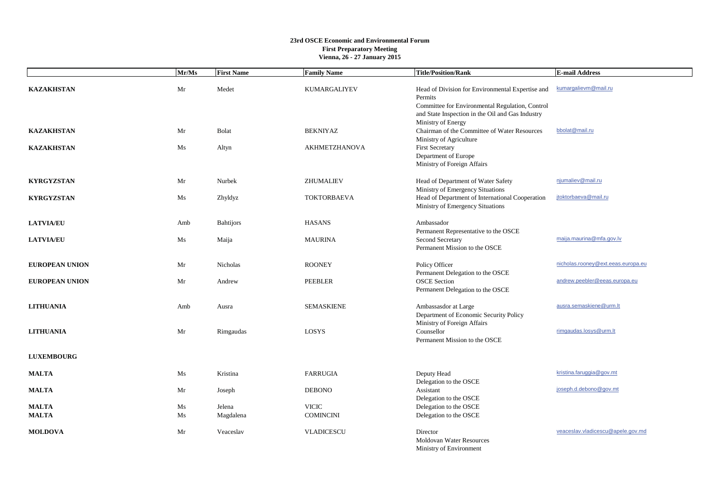|                              | Mr/Ms    | <b>First Name</b>   | <b>Family Name</b>               | <b>Title/Position/Rank</b>                                                                                                                                                               | <b>E-mail Address</b>              |
|------------------------------|----------|---------------------|----------------------------------|------------------------------------------------------------------------------------------------------------------------------------------------------------------------------------------|------------------------------------|
| <b>KAZAKHSTAN</b>            | Mr       | Medet               | KUMARGALIYEV                     | Head of Division for Environmental Expertise and<br>Permits<br>Committee for Environmental Regulation, Control<br>and State Inspection in the Oil and Gas Industry<br>Ministry of Energy | kumargalievm@mail.ru               |
| <b>KAZAKHSTAN</b>            | Mr       | <b>Bolat</b>        | <b>BEKNIYAZ</b>                  | Chairman of the Committee of Water Resources<br>Ministry of Agriculture                                                                                                                  | bbolat@mail.ru                     |
| <b>KAZAKHSTAN</b>            | Ms       | Altyn               | <b>AKHMETZHANOVA</b>             | <b>First Secretary</b><br>Department of Europe<br>Ministry of Foreign Affairs                                                                                                            |                                    |
| <b>KYRGYZSTAN</b>            | Mr       | Nurbek              | ZHUMALIEV                        | Head of Department of Water Safety<br>Ministry of Emergency Situations                                                                                                                   | njumaliev@mail.ru                  |
| <b>KYRGYZSTAN</b>            | Ms       | Zhyldyz             | <b>TOKTORBAEVA</b>               | Head of Department of International Cooperation<br>Ministry of Emergency Situations                                                                                                      | jtoktorbaeva@mail.ru               |
| <b>LATVIA/EU</b>             | Amb      | <b>Bahtijors</b>    | <b>HASANS</b>                    | Ambassador<br>Permanent Representative to the OSCE                                                                                                                                       |                                    |
| <b>LATVIA/EU</b>             | Ms       | Maija               | <b>MAURINA</b>                   | Second Secretary<br>Permanent Mission to the OSCE                                                                                                                                        | maija.maurina@mfa.gov.lv           |
| <b>EUROPEAN UNION</b>        | Mr       | Nicholas            | <b>ROONEY</b>                    | Policy Officer<br>Permanent Delegation to the OSCE                                                                                                                                       | nicholas.rooney@ext.eeas.europa.eu |
| <b>EUROPEAN UNION</b>        | Mr       | Andrew              | PEEBLER                          | <b>OSCE</b> Section<br>Permanent Delegation to the OSCE                                                                                                                                  | andrew.peebler@eeas.europa.eu      |
| <b>LITHUANIA</b>             | Amb      | Ausra               | <b>SEMASKIENE</b>                | Ambassasdor at Large<br>Department of Economic Security Policy                                                                                                                           | ausra.semaskiene@urm.lt            |
| <b>LITHUANIA</b>             | Mr       | Rimgaudas           | LOSYS                            | Ministry of Foreign Affairs<br>Counsellor<br>Permanent Mission to the OSCE                                                                                                               | rimgaudas.losys@urm.lt             |
| <b>LUXEMBOURG</b>            |          |                     |                                  |                                                                                                                                                                                          |                                    |
| <b>MALTA</b>                 | Ms       | Kristina            | <b>FARRUGIA</b>                  | Deputy Head<br>Delegation to the OSCE                                                                                                                                                    | kristina.faruggia@gov.mt           |
| <b>MALTA</b>                 | Mr       | Joseph              | <b>DEBONO</b>                    | Assistant<br>Delegation to the OSCE                                                                                                                                                      | joseph.d.debono@gov.mt             |
| <b>MALTA</b><br><b>MALTA</b> | Ms<br>Ms | Jelena<br>Magdalena | <b>VICIC</b><br><b>COMINCINI</b> | Delegation to the OSCE<br>Delegation to the OSCE                                                                                                                                         |                                    |
|                              |          |                     |                                  |                                                                                                                                                                                          |                                    |
| <b>MOLDOVA</b>               | Mr       | Veaceslav           | <b>VLADICESCU</b>                | Director<br><b>Moldovan Water Resources</b><br>Ministry of Environment                                                                                                                   | veaceslav.vladicescu@apele.gov.md  |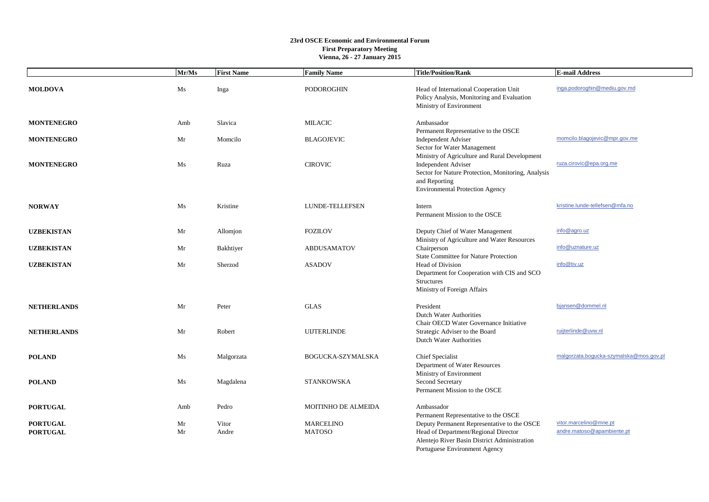|                                    | Mr/Ms    | <b>First Name</b> | <b>Family Name</b>                | <b>Title/Position/Rank</b>                                                                                                                                                                   | <b>E-mail Address</b>                                |
|------------------------------------|----------|-------------------|-----------------------------------|----------------------------------------------------------------------------------------------------------------------------------------------------------------------------------------------|------------------------------------------------------|
| <b>MOLDOVA</b>                     | Ms       | Inga              | <b>PODOROGHIN</b>                 | Head of International Cooperation Unit<br>Policy Analysis, Monitoring and Evaluation<br>Ministry of Environment                                                                              | inga.podoroghin@mediu.gov.md                         |
| <b>MONTENEGRO</b>                  | Amb      | Slavica           | <b>MILACIC</b>                    | Ambassador                                                                                                                                                                                   |                                                      |
| <b>MONTENEGRO</b>                  | Mr       | Momcilo           | <b>BLAGOJEVIC</b>                 | Permanent Representative to the OSCE<br><b>Independent Adviser</b><br>Sector for Water Management                                                                                            | momcilo.blagojevic@mpr.gov.me                        |
| <b>MONTENEGRO</b>                  | Ms       | Ruza              | <b>CIROVIC</b>                    | Ministry of Agriculture and Rural Development<br><b>Independent Adviser</b><br>Sector for Nature Protection, Monitoring, Analysis<br>and Reporting<br><b>Environmental Protection Agency</b> | ruza.cirovic@epa.org.me                              |
| <b>NORWAY</b>                      | Ms       | Kristine          | LUNDE-TELLEFSEN                   | Intern<br>Permanent Mission to the OSCE                                                                                                                                                      | kristine.lunde-tellefsen@mfa.no                      |
| <b>UZBEKISTAN</b>                  | Mr       | Allomjon          | <b>FOZILOV</b>                    | Deputy Chief of Water Management<br>Ministry of Agriculture and Water Resources                                                                                                              | info@agro.uz                                         |
| <b>UZBEKISTAN</b>                  | Mr       | Bakhtiyer         | ABDUSAMATOV                       | Chairperson<br><b>State Committee for Nature Protection</b>                                                                                                                                  | info@uznature.uz                                     |
| <b>UZBEKISTAN</b>                  | Mr       | Sherzod           | <b>ASADOV</b>                     | <b>Head of Division</b><br>Department for Cooperation with CIS and SCO<br>Structures<br>Ministry of Foreign Affairs                                                                          | info@tiv.uz                                          |
| <b>NETHERLANDS</b>                 | Mr       | Peter             | <b>GLAS</b>                       | President<br><b>Dutch Water Authorities</b>                                                                                                                                                  | bjansen@dommel.nl                                    |
| <b>NETHERLANDS</b>                 | Mr       | Robert            | <b>UIJTERLINDE</b>                | Chair OECD Water Governance Initiative<br>Strategic Adviser to the Board<br><b>Dutch Water Authorities</b>                                                                                   | ruijterlinde@uvw.nl                                  |
| <b>POLAND</b>                      | Ms       | Malgorzata        | BOGUCKA-SZYMALSKA                 | Chief Specialist<br>Department of Water Resources                                                                                                                                            | malgorzata.bogucka-szymalska@mos.gov.pl              |
| <b>POLAND</b>                      | Ms       | Magdalena         | STANKOWSKA                        | Ministry of Environment<br>Second Secretary<br>Permanent Mission to the OSCE                                                                                                                 |                                                      |
| <b>PORTUGAL</b>                    | Amb      | Pedro             | MOITINHO DE ALMEIDA               | Ambassador<br>Permanent Representative to the OSCE                                                                                                                                           |                                                      |
| <b>PORTUGAL</b><br><b>PORTUGAL</b> | Mr<br>Mr | Vitor<br>Andre    | <b>MARCELINO</b><br><b>MATOSO</b> | Deputy Permanent Representative to the OSCE<br>Head of Department/Regional Director<br>Alentejo River Basin District Administration<br>Portuguese Environment Agency                         | vitor.marcelino@mne.pt<br>andre.matoso@apambiente.pt |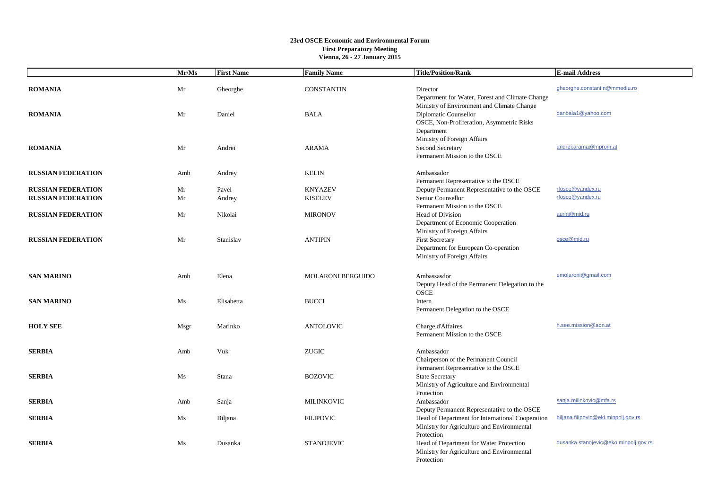|                                                        | Mr/Ms    | <b>First Name</b> | <b>Family Name</b>               | <b>Title/Position/Rank</b>                                                                                                     | <b>E-mail Address</b>                 |
|--------------------------------------------------------|----------|-------------------|----------------------------------|--------------------------------------------------------------------------------------------------------------------------------|---------------------------------------|
| <b>ROMANIA</b>                                         | Mr       | Gheorghe          | <b>CONSTANTIN</b>                | Director<br>Department for Water, Forest and Climate Change                                                                    | gheorghe.constantin@mmediu.ro         |
| <b>ROMANIA</b>                                         | Mr       | Daniel            | <b>BALA</b>                      | Ministry of Environment and Climate Change<br>Diplomatic Counsellor<br>OSCE, Non-Proliferation, Asymmetric Risks<br>Department | danbala1@yahoo.com                    |
| <b>ROMANIA</b>                                         | Mr       | Andrei            | <b>ARAMA</b>                     | Ministry of Foreign Affairs<br>Second Secretary<br>Permanent Mission to the OSCE                                               | andrei.arama@mprom.at                 |
| <b>RUSSIAN FEDERATION</b>                              | Amb      | Andrey            | <b>KELIN</b>                     | Ambassador<br>Permanent Representative to the OSCE                                                                             |                                       |
| <b>RUSSIAN FEDERATION</b><br><b>RUSSIAN FEDERATION</b> | Mr<br>Mr | Pavel<br>Andrey   | <b>KNYAZEV</b><br><b>KISELEV</b> | Deputy Permanent Representative to the OSCE<br>Senior Counsellor<br>Permanent Mission to the OSCE                              | rfosce@yandex.ru<br>rfosce@yandex.ru  |
| <b>RUSSIAN FEDERATION</b>                              | Mr       | Nikolai           | <b>MIRONOV</b>                   | Head of Division<br>Department of Economic Cooperation                                                                         | aurin@mid.ru                          |
| <b>RUSSIAN FEDERATION</b>                              | Mr       | Stanislav         | <b>ANTIPIN</b>                   | Ministry of Foreign Affairs<br><b>First Secretary</b><br>Department for European Co-operation<br>Ministry of Foreign Affairs   | osce@mid.ru                           |
| <b>SAN MARINO</b>                                      | Amb      | Elena             | <b>MOLARONI BERGUIDO</b>         | Ambassasdor<br>Deputy Head of the Permanent Delegation to the<br><b>OSCE</b>                                                   | emolaroni@gmail.com                   |
| <b>SAN MARINO</b>                                      | Ms       | Elisabetta        | <b>BUCCI</b>                     | Intern<br>Permanent Delegation to the OSCE                                                                                     |                                       |
| <b>HOLY SEE</b>                                        | Msgr     | Marinko           | <b>ANTOLOVIC</b>                 | Charge d'Affaires<br>Permanent Mission to the OSCE                                                                             | h.see.mission@aon.at                  |
| <b>SERBIA</b>                                          | Amb      | Vuk               | <b>ZUGIC</b>                     | Ambassador<br>Chairperson of the Permanent Council                                                                             |                                       |
| <b>SERBIA</b>                                          | Ms       | Stana             | <b>BOZOVIC</b>                   | Permanent Representative to the OSCE<br><b>State Secretary</b><br>Ministry of Agriculture and Environmental                    |                                       |
| <b>SERBIA</b>                                          | Amb      | Sanja             | <b>MILINKOVIC</b>                | Protection<br>Ambassador<br>Deputy Permanent Representative to the OSCE                                                        | sanja.milinkovic@mfa.rs               |
| <b>SERBIA</b>                                          | Ms       | Biljana           | <b>FILIPOVIC</b>                 | Head of Department for International Cooperation<br>Ministry for Agriculture and Environmental<br>Protection                   | biljana.filipovic@eki.minpolj.gov.rs  |
| <b>SERBIA</b>                                          | Ms       | Dusanka           | <b>STANOJEVIC</b>                | Head of Department for Water Protection<br>Ministry for Agriculture and Environmental<br>Protection                            | dusanka.stanojevic@eko.minpolj.gov.rs |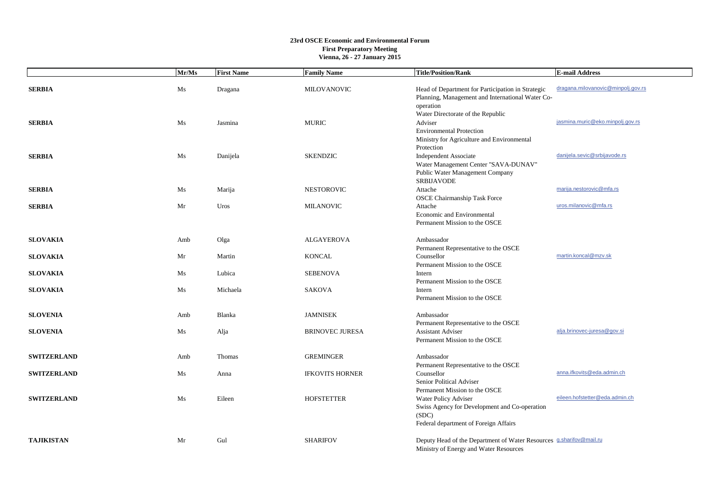|                    | Mr/Ms | <b>First Name</b> | <b>Family Name</b>     | <b>Title/Position/Rank</b>                                                                                                                               | <b>E-mail Address</b>              |
|--------------------|-------|-------------------|------------------------|----------------------------------------------------------------------------------------------------------------------------------------------------------|------------------------------------|
| <b>SERBIA</b>      | Ms    | Dragana           | MILOVANOVIC            | Head of Department for Participation in Strategic<br>Planning, Management and International Water Co-<br>operation                                       | dragana.milovanovic@minpolj.gov.rs |
| <b>SERBIA</b>      | Ms    | Jasmina           | <b>MURIC</b>           | Water Directorate of the Republic<br>Adviser<br><b>Environmental Protection</b><br>Ministry for Agriculture and Environmental                            | jasmina.muric@eko.minpolj.gov.rs   |
| <b>SERBIA</b>      | Ms    | Danijela          | <b>SKENDZIC</b>        | Protection<br><b>Independent Associate</b><br>Water Management Center "SAVA-DUNAV"<br>Public Water Management Company<br>SRBIJAVODE                      | danijela.sevic@srbijavode.rs       |
| <b>SERBIA</b>      | Ms    | Marija            | <b>NESTOROVIC</b>      | Attache                                                                                                                                                  | marija.nestorovic@mfa.rs           |
| <b>SERBIA</b>      | Mr    | Uros              | <b>MILANOVIC</b>       | <b>OSCE Chairmanship Task Force</b><br>Attache<br>Economic and Environmental<br>Permanent Mission to the OSCE                                            | uros.milanovic@mfa.rs              |
| <b>SLOVAKIA</b>    | Amb   | Olga              | <b>ALGAYEROVA</b>      | Ambassador                                                                                                                                               |                                    |
| <b>SLOVAKIA</b>    | Mr    | Martin            | <b>KONCAL</b>          | Permanent Representative to the OSCE<br>Counsellor<br>Permanent Mission to the OSCE                                                                      | martin.koncal@mzv.sk               |
| <b>SLOVAKIA</b>    | Ms    | Lubica            | <b>SEBENOVA</b>        | Intern<br>Permanent Mission to the OSCE                                                                                                                  |                                    |
| <b>SLOVAKIA</b>    | Ms    | Michaela          | SAKOVA                 | Intern<br>Permanent Mission to the OSCE                                                                                                                  |                                    |
| <b>SLOVENIA</b>    | Amb   | Blanka            | <b>JAMNISEK</b>        | Ambassador<br>Permanent Representative to the OSCE                                                                                                       |                                    |
| <b>SLOVENIA</b>    | Ms    | Alja              | <b>BRINOVEC JURESA</b> | <b>Assistant Adviser</b><br>Permanent Mission to the OSCE                                                                                                | alja.brinovec-juresa@gov.si        |
| <b>SWITZERLAND</b> | Amb   | Thomas            | <b>GREMINGER</b>       | Ambassador<br>Permanent Representative to the OSCE                                                                                                       |                                    |
| <b>SWITZERLAND</b> | Ms    | Anna              | <b>IFKOVITS HORNER</b> | Counsellor<br>Senior Political Adviser                                                                                                                   | anna.ifkovits@eda.admin.ch         |
| <b>SWITZERLAND</b> | Ms    | Eileen            | <b>HOFSTETTER</b>      | Permanent Mission to the OSCE<br>Water Policy Adviser<br>Swiss Agency for Development and Co-operation<br>(SDC)<br>Federal department of Foreign Affairs | eileen.hofstetter@eda.admin.ch     |
| <b>TAJIKISTAN</b>  | Mr    | Gul               | <b>SHARIFOV</b>        | Deputy Head of the Department of Water Resources <b>g.sharifov@mail.ru</b><br>Ministry of Energy and Water Resources                                     |                                    |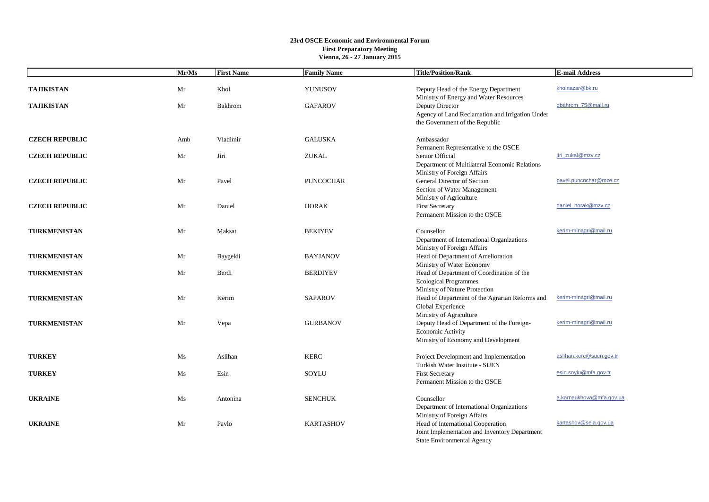|                       | Mr/Ms | <b>First Name</b> | <b>Family Name</b> | <b>Title/Position/Rank</b>                                                     | <b>E-mail Address</b>    |
|-----------------------|-------|-------------------|--------------------|--------------------------------------------------------------------------------|--------------------------|
| <b>TAJIKISTAN</b>     | Mr    | Khol              | YUNUSOV            | Deputy Head of the Energy Department<br>Ministry of Energy and Water Resources | kholnazar@bk.ru          |
| <b>TAJIKISTAN</b>     | Mr    | Bakhrom           | <b>GAFAROV</b>     | Deputy Director                                                                | gbahrom 75@mail.ru       |
|                       |       |                   |                    | Agency of Land Reclamation and Irrigation Under                                |                          |
|                       |       |                   |                    | the Government of the Republic                                                 |                          |
| <b>CZECH REPUBLIC</b> | Amb   | Vladimir          | <b>GALUSKA</b>     | Ambassador                                                                     |                          |
|                       |       |                   |                    | Permanent Representative to the OSCE                                           |                          |
| <b>CZECH REPUBLIC</b> | Mr    | Jiri              | <b>ZUKAL</b>       | Senior Official                                                                | jiri zukal@mzv.cz        |
|                       |       |                   |                    | Department of Multilateral Economic Relations                                  |                          |
|                       |       |                   |                    | Ministry of Foreign Affairs                                                    |                          |
| <b>CZECH REPUBLIC</b> | Mr    | Pavel             | <b>PUNCOCHAR</b>   | General Director of Section                                                    | pavel.puncochar@mze.cz   |
|                       |       |                   |                    | Section of Water Management                                                    |                          |
| <b>CZECH REPUBLIC</b> | Mr    | Daniel            | <b>HORAK</b>       | Ministry of Agriculture<br><b>First Secretary</b>                              | daniel_horak@mzv.cz      |
|                       |       |                   |                    | Permanent Mission to the OSCE                                                  |                          |
|                       |       |                   |                    |                                                                                |                          |
| <b>TURKMENISTAN</b>   | Mr    | Maksat            | <b>BEKIYEV</b>     | Counsellor                                                                     | kerim-minagri@mail.ru    |
|                       |       |                   |                    | Department of International Organizations                                      |                          |
|                       |       |                   |                    | Ministry of Foreign Affairs                                                    |                          |
| <b>TURKMENISTAN</b>   | Mr    | Baygeldi          | <b>BAYJANOV</b>    | Head of Department of Amelioration                                             |                          |
|                       |       |                   |                    | Ministry of Water Economy                                                      |                          |
| <b>TURKMENISTAN</b>   | Mr    | Berdi             | <b>BERDIYEV</b>    | Head of Department of Coordination of the                                      |                          |
|                       |       |                   |                    | <b>Ecological Programmes</b>                                                   |                          |
|                       |       |                   |                    | Ministry of Nature Protection                                                  | kerim-minagri@mail.ru    |
| <b>TURKMENISTAN</b>   | Mr    | Kerim             | <b>SAPAROV</b>     | Head of Department of the Agrarian Reforms and<br>Global Experience            |                          |
|                       |       |                   |                    | Ministry of Agriculture                                                        |                          |
| TURKMENISTAN          | Mr    | Vepa              | <b>GURBANOV</b>    | Deputy Head of Department of the Foreign-                                      | kerim-minagri@mail.ru    |
|                       |       |                   |                    | Economic Activity                                                              |                          |
|                       |       |                   |                    | Ministry of Economy and Development                                            |                          |
|                       |       |                   |                    |                                                                                | aslihan.kerc@suen.gov.tr |
| <b>TURKEY</b>         | Ms    | Aslihan           | <b>KERC</b>        | Project Development and Implementation<br>Turkish Water Institute - SUEN       |                          |
| <b>TURKEY</b>         | Ms    | Esin              | SOYLU              | <b>First Secretary</b>                                                         | esin.soylu@mfa.gov.tr    |
|                       |       |                   |                    | Permanent Mission to the OSCE                                                  |                          |
|                       |       |                   |                    |                                                                                |                          |
| <b>UKRAINE</b>        | Ms    | Antonina          | <b>SENCHUK</b>     | Counsellor                                                                     | a.karnaukhova@mfa.gov.ua |
|                       |       |                   |                    | Department of International Organizations                                      |                          |
|                       |       |                   |                    | Ministry of Foreign Affairs                                                    |                          |
| <b>UKRAINE</b>        | Mr    | Paylo             | <b>KARTASHOV</b>   | Head of International Cooperation                                              | kartashov@seia.gov.ua    |
|                       |       |                   |                    | Joint Implementation and Inventory Department                                  |                          |
|                       |       |                   |                    | State Environmental Agency                                                     |                          |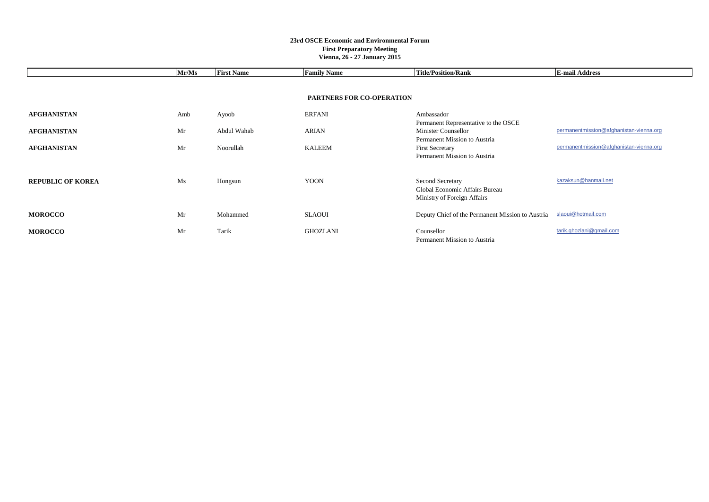|                          | Mr/Ms | <b>First Name</b> | <b>Family Name</b>               | <b>Title/Position/Rank</b>                                                        | <b>E-mail Address</b>                   |
|--------------------------|-------|-------------------|----------------------------------|-----------------------------------------------------------------------------------|-----------------------------------------|
|                          |       |                   |                                  |                                                                                   |                                         |
|                          |       |                   | <b>PARTNERS FOR CO-OPERATION</b> |                                                                                   |                                         |
| <b>AFGHANISTAN</b>       | Amb   | Ayoob             | <b>ERFANI</b>                    | Ambassador<br>Permanent Representative to the OSCE                                |                                         |
| <b>AFGHANISTAN</b>       | Mr    | Abdul Wahab       | ARIAN                            | Minister Counsellor<br>Permanent Mission to Austria                               | permanentmission@afghanistan-vienna.org |
| <b>AFGHANISTAN</b>       | Mr    | Noorullah         | <b>KALEEM</b>                    | <b>First Secretary</b><br>Permanent Mission to Austria                            | permanentmission@afghanistan-vienna.org |
| <b>REPUBLIC OF KOREA</b> | Ms    | Hongsun           | <b>YOON</b>                      | Second Secretary<br>Global Economic Affairs Bureau<br>Ministry of Foreign Affairs | kazaksun@hanmail.net                    |
| <b>MOROCCO</b>           | Mr    | Mohammed          | <b>SLAOUI</b>                    | Deputy Chief of the Permanent Mission to Austria                                  | slaoui@hotmail.com                      |
| <b>MOROCCO</b>           | Mr    | Tarik             | <b>GHOZLANI</b>                  | Counsellor<br>Permanent Mission to Austria                                        | tarik.ghozlani@gmail.com                |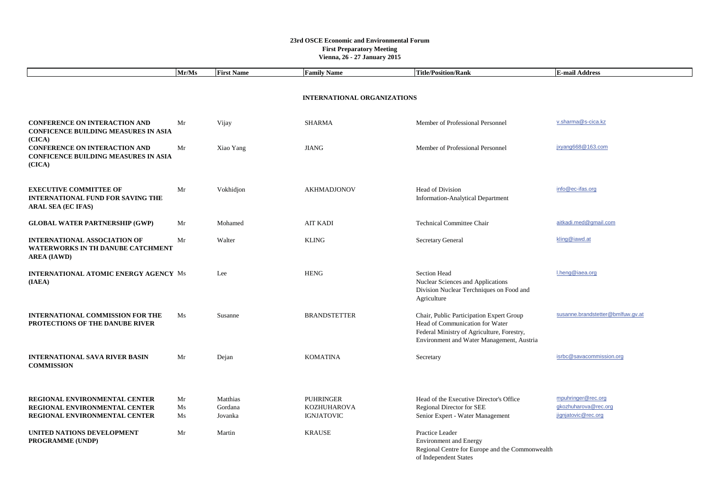|                                                                                                        | Mr/Ms | <b>First Name</b> | <b>Family Name</b>                 | <b>Title/Position/Rank</b>                                                                                                                                             | <b>E-mail Address</b>             |
|--------------------------------------------------------------------------------------------------------|-------|-------------------|------------------------------------|------------------------------------------------------------------------------------------------------------------------------------------------------------------------|-----------------------------------|
|                                                                                                        |       |                   |                                    |                                                                                                                                                                        |                                   |
|                                                                                                        |       |                   | <b>INTERNATIONAL ORGANIZATIONS</b> |                                                                                                                                                                        |                                   |
|                                                                                                        |       |                   |                                    |                                                                                                                                                                        |                                   |
| <b>CONFERENCE ON INTERACTION AND</b><br><b>CONFICENCE BUILDING MEASURES IN ASIA</b><br>(CICA)          | Mr    | Vijay             | <b>SHARMA</b>                      | Member of Professional Personnel                                                                                                                                       | v.sharma@s-cica.kz                |
| <b>CONFERENCE ON INTERACTION AND</b><br><b>CONFICENCE BUILDING MEASURES IN ASIA</b><br>(CICA)          | Mr    | Xiao Yang         | <b>JIANG</b>                       | Member of Professional Personnel                                                                                                                                       | jxyang668@163.com                 |
| <b>EXECUTIVE COMMITTEE OF</b><br><b>INTERNATIONAL FUND FOR SAVING THE</b><br><b>ARAL SEA (EC IFAS)</b> | Mr    | Vokhidjon         | AKHMADJONOV                        | Head of Division<br><b>Information-Analytical Department</b>                                                                                                           | info@ec-ifas.org                  |
| <b>GLOBAL WATER PARTNERSHIP (GWP)</b>                                                                  | Mr    | Mohamed           | <b>AIT KADI</b>                    | <b>Technical Committee Chair</b>                                                                                                                                       | aitkadi.med@gmail.com             |
| <b>INTERNATIONAL ASSOCIATION OF</b><br><b>WATERWORKS IN TH DANUBE CATCHMENT</b><br><b>AREA (IAWD)</b>  | Mr    | Walter            | <b>KLING</b>                       | <b>Secretary General</b>                                                                                                                                               | kling@iawd.at                     |
| <b>INTERNATIONAL ATOMIC ENERGY AGENCY Ms</b><br>(IAEA)                                                 |       | Lee               | <b>HENG</b>                        | Section Head<br>Nuclear Sciences and Applications<br>Division Nuclear Terchniques on Food and<br>Agriculture                                                           | I.heng@iaea.org                   |
| <b>INTERNATIONAL COMMISSION FOR THE</b><br>PROTECTIONS OF THE DANUBE RIVER                             | Ms    | Susanne           | <b>BRANDSTETTER</b>                | Chair, Public Participation Expert Group<br>Head of Communication for Water<br>Federal Ministry of Agriculture, Forestry,<br>Environment and Water Management, Austria | susanne.brandstetter@bmlfuw.gv.at |
| <b>INTERNATIONAL SAVA RIVER BASIN</b><br><b>COMMISSION</b>                                             | Mr    | Dejan             | <b>KOMATINA</b>                    | Secretary                                                                                                                                                              | isrbc@savacommission.org          |
| REGIONAL ENVIRONMENTAL CENTER                                                                          | Mr    | Matthias          | <b>PUHRINGER</b>                   | Head of the Executive Director's Office                                                                                                                                | mpuhringer@rec.org                |
| REGIONAL ENVIRONMENTAL CENTER                                                                          | Ms    | Gordana           | <b>KOZHUHAROVA</b>                 | Regional Director for SEE                                                                                                                                              | gkozhuharova@rec.org              |
| REGIONAL ENVIRONMENTAL CENTER                                                                          | Ms    | Jovanka           | <b>IGNJATOVIC</b>                  | Senior Expert - Water Management                                                                                                                                       | jignjatovic@rec.org               |
| UNITED NATIONS DEVELOPMENT<br>PROGRAMME (UNDP)                                                         | Mr    | Martin            | <b>KRAUSE</b>                      | Practice Leader<br><b>Environment</b> and Energy<br>Regional Centre for Europe and the Commonwealth<br>of Independent States                                           |                                   |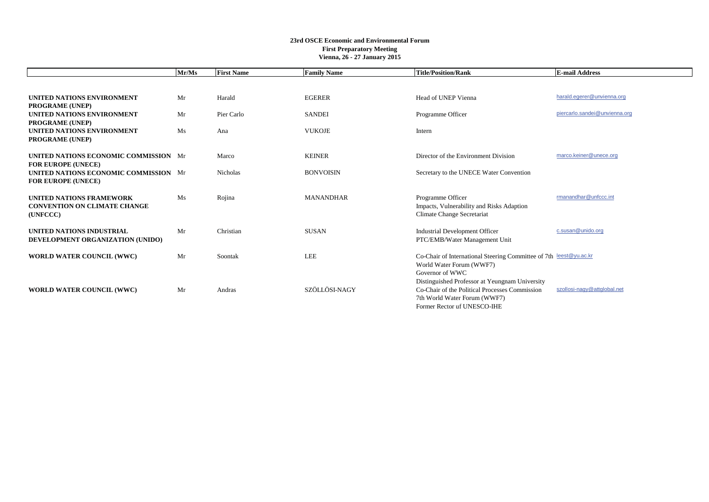|                                                                                    | Mr/Ms | <b>First Name</b> | <b>Family Name</b> | <b>Title/Position/Rank</b>                                                                                                                                      | <b>E-mail Address</b>         |
|------------------------------------------------------------------------------------|-------|-------------------|--------------------|-----------------------------------------------------------------------------------------------------------------------------------------------------------------|-------------------------------|
|                                                                                    |       |                   |                    |                                                                                                                                                                 |                               |
| UNITED NATIONS ENVIRONMENT<br><b>PROGRAME (UNEP)</b>                               | Mr    | Harald            | <b>EGERER</b>      | Head of UNEP Vienna                                                                                                                                             | harald.egerer@unvienna.org    |
| UNITED NATIONS ENVIRONMENT<br><b>PROGRAME (UNEP)</b>                               | Mr    | Pier Carlo        | <b>SANDEI</b>      | Programme Officer                                                                                                                                               | piercarlo.sandei@unvienna.org |
| UNITED NATIONS ENVIRONMENT<br><b>PROGRAME (UNEP)</b>                               | Ms    | Ana               | <b>VUKOJE</b>      | Intern                                                                                                                                                          |                               |
| UNITED NATIONS ECONOMIC COMMISSION Mr<br><b>FOR EUROPE (UNECE)</b>                 |       | Marco             | <b>KEINER</b>      | Director of the Environment Division                                                                                                                            | marco.keiner@unece.org        |
| UNITED NATIONS ECONOMIC COMMISSION Mr<br><b>FOR EUROPE (UNECE)</b>                 |       | Nicholas          | <b>BONVOISIN</b>   | Secretary to the UNECE Water Convention                                                                                                                         |                               |
| <b>UNITED NATIONS FRAMEWORK</b><br><b>CONVENTION ON CLIMATE CHANGE</b><br>(UNFCCC) | Ms    | Rojina            | <b>MANANDHAR</b>   | Programme Officer<br>Impacts, Vulnerability and Risks Adaption<br>Climate Change Secretariat                                                                    | rmanandhar@unfccc.int         |
| <b>UNITED NATIONS INDUSTRIAL</b><br>DEVELOPMENT ORGANIZATION (UNIDO)               | Mr    | Christian         | <b>SUSAN</b>       | <b>Industrial Development Officer</b><br>PTC/EMB/Water Management Unit                                                                                          | c.susan@unido.org             |
| <b>WORLD WATER COUNCIL (WWC)</b>                                                   | Mr    | Soontak           | LEE                | Co-Chair of International Steering Committee of 7th leest@yu.ac.kr<br>World Water Forum (WWF7)<br>Governor of WWC                                               |                               |
| <b>WORLD WATER COUNCIL (WWC)</b>                                                   | Mr    | Andras            | SZÖLLÖSI-NAGY      | Distinguished Professor at Yeungnam University<br>Co-Chair of the Political Processes Commission<br>7th World Water Forum (WWF7)<br>Former Rector uf UNESCO-IHE | szollosi-nagy@attglobal.net   |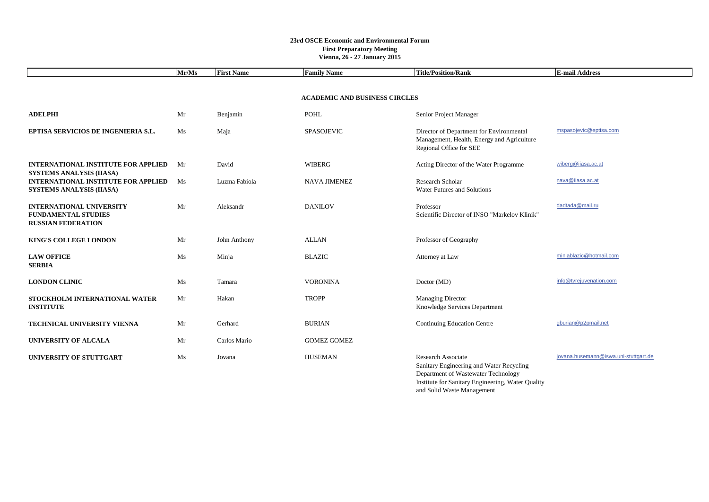|                                                                                            | Mr/Ms                                | <b>First Name</b> | <b>Family Name</b>  | <b>Title/Position/Rank</b>                                                                                                                                                               | <b>E-mail Address</b>                 |  |
|--------------------------------------------------------------------------------------------|--------------------------------------|-------------------|---------------------|------------------------------------------------------------------------------------------------------------------------------------------------------------------------------------------|---------------------------------------|--|
|                                                                                            |                                      |                   |                     |                                                                                                                                                                                          |                                       |  |
|                                                                                            | <b>ACADEMIC AND BUSINESS CIRCLES</b> |                   |                     |                                                                                                                                                                                          |                                       |  |
| <b>ADELPHI</b>                                                                             | Mr                                   | Benjamin          | <b>POHL</b>         | Senior Project Manager                                                                                                                                                                   |                                       |  |
| EPTISA SERVICIOS DE INGENIERIA S.L.                                                        | Ms                                   | Maja              | <b>SPASOJEVIC</b>   | Director of Department for Environmental<br>Management, Health, Energy and Agriculture<br>Regional Office for SEE                                                                        | mspasojevic@eptisa.com                |  |
| <b>INTERNATIONAL INSTITUTE FOR APPLIED</b><br><b>SYSTEMS ANALYSIS (IIASA)</b>              | Mr                                   | David             | WIBERG              | Acting Director of the Water Programme                                                                                                                                                   | wiberg@iiasa.ac.at                    |  |
| <b>INTERNATIONAL INSTITUTE FOR APPLIED</b><br><b>SYSTEMS ANALYSIS (IIASA)</b>              | Ms                                   | Luzma Fabiola     | <b>NAVA JIMENEZ</b> | Research Scholar<br>Water Futures and Solutions                                                                                                                                          | nava@iiasa.ac.at                      |  |
| <b>INTERNATIONAL UNIVERSITY</b><br><b>FUNDAMENTAL STUDIES</b><br><b>RUSSIAN FEDERATION</b> | Mr                                   | Aleksandr         | <b>DANILOV</b>      | Professor<br>Scientific Director of INSO "Markelov Klinik"                                                                                                                               | dadtada@mail.ru                       |  |
| <b>KING'S COLLEGE LONDON</b>                                                               | Mr                                   | John Anthony      | <b>ALLAN</b>        | Professor of Geography                                                                                                                                                                   |                                       |  |
| <b>LAW OFFICE</b><br><b>SERBIA</b>                                                         | Ms                                   | Minja             | <b>BLAZIC</b>       | Attorney at Law                                                                                                                                                                          | minjablazic@hotmail.com               |  |
| <b>LONDON CLINIC</b>                                                                       | Ms                                   | Tamara            | <b>VORONINA</b>     | Doctor (MD)                                                                                                                                                                              | info@tvrejuvenation.com               |  |
| STOCKHOLM INTERNATIONAL WATER<br><b>INSTITUTE</b>                                          | Mr                                   | Hakan             | <b>TROPP</b>        | <b>Managing Director</b><br>Knowledge Services Department                                                                                                                                |                                       |  |
| TECHNICAL UNIVERSITY VIENNA                                                                | Mr                                   | Gerhard           | <b>BURIAN</b>       | <b>Continuing Education Centre</b>                                                                                                                                                       | gburian@p2pmail.net                   |  |
| <b>UNIVERSITY OF ALCALA</b>                                                                | Mr                                   | Carlos Mario      | <b>GOMEZ GOMEZ</b>  |                                                                                                                                                                                          |                                       |  |
| UNIVERSITY OF STUTTGART                                                                    | Ms                                   | Jovana            | <b>HUSEMAN</b>      | Research Associate<br>Sanitary Engineering and Water Recycling<br>Department of Wastewater Technology<br>Institute for Sanitary Engineering, Water Quality<br>and Solid Waste Management | jovana.husemann@iswa.uni-stuttgart.de |  |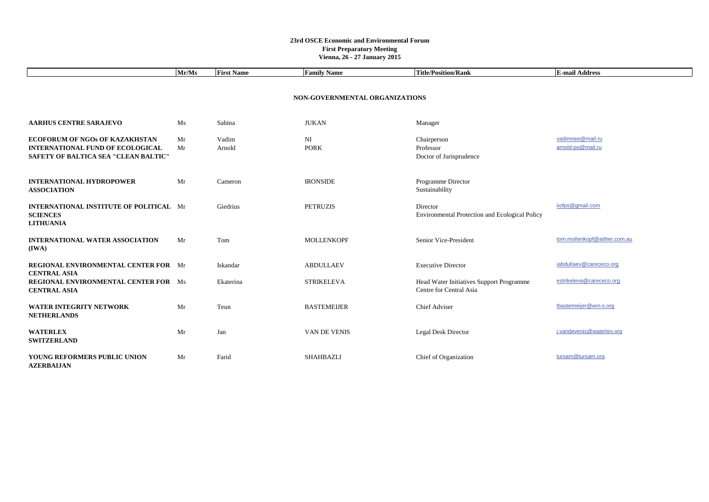|                                                                                                                          | Mr/Ms    | <b>First Name</b> | <b>Family Name</b>             | <b>Title/Position/Rank</b>                                          | <b>E-mail Address</b>                 |  |  |
|--------------------------------------------------------------------------------------------------------------------------|----------|-------------------|--------------------------------|---------------------------------------------------------------------|---------------------------------------|--|--|
|                                                                                                                          |          |                   | NON-GOVERNMENTAL ORGANIZATIONS |                                                                     |                                       |  |  |
|                                                                                                                          |          |                   |                                |                                                                     |                                       |  |  |
| <b>AARHUS CENTRE SARAJEVO</b>                                                                                            | Ms       | Sabina            | <b>JUKAN</b>                   | Manager                                                             |                                       |  |  |
| <b>ECOFORUM OF NGOs OF KAZAKHSTAN</b><br><b>INTERNATIONAL FUND OF ECOLOGICAL</b><br>SAFETY OF BALTICA SEA "CLEAN BALTIC" | Mr<br>Mr | Vadim<br>Arnold   | NI<br><b>PORK</b>              | Chairperson<br>Professor<br>Doctor of Jurisprudence                 | vadimnee@mail.ru<br>arnold-po@mail.ru |  |  |
| <b>INTERNATIONAL HYDROPOWER</b><br><b>ASSOCIATION</b>                                                                    | Mr       | Cameron           | <b>IRONSIDE</b>                | Programme Director<br>Sustainability                                |                                       |  |  |
| <b>INTERNATIONAL INSTITUTE OF POLITICAL Mr</b><br><b>SCIENCES</b><br><b>LITHUANIA</b>                                    |          | Giedrius          | <b>PETRUZIS</b>                | Director<br>Environmental Protection and Ecological Policy          | iiofps@gmail.com                      |  |  |
| <b>INTERNATIONAL WATER ASSOCIATION</b><br>(IWA)                                                                          | Mr       | Tom               | <b>MOLLENKOPF</b>              | Senior Vice-President                                               | tom.mollenkopf@aither.com.au          |  |  |
| <b>REGIONAL ENVIRONMENTAL CENTER FOR Mr</b><br><b>CENTRAL ASIA</b>                                                       |          | Iskandar          | <b>ABDULLAEV</b>               | <b>Executive Director</b>                                           | iabdullaev@carececo.org               |  |  |
| <b>REGIONAL ENVIRONMENTAL CENTER FOR Ms</b><br><b>CENTRAL ASIA</b>                                                       |          | Ekaterina         | <b>STRIKELEVA</b>              | Head Water Initiatives Support Programme<br>Centre for Central Asia | estrikeleva@carececo.org              |  |  |
| WATER INTEGRITY NETWORK<br><b>NETHERLANDS</b>                                                                            | Mr       | Teun              | <b>BASTEMEIJER</b>             | <b>Chief Adviser</b>                                                | tbastemeijer@win-s.org                |  |  |
| <b>WATERLEX</b><br><b>SWITZERLAND</b>                                                                                    | Mr       | Jan               | VAN DE VENIS                   | Legal Desk Director                                                 | j.vandevenis@waterlex.org             |  |  |
| YOUNG REFORMERS PUBLIC UNION<br><b>AZERBALJAN</b>                                                                        | Mr       | Farid             | <b>SHAHBAZLI</b>               | Chief of Organization                                               | tursam@tursam.org                     |  |  |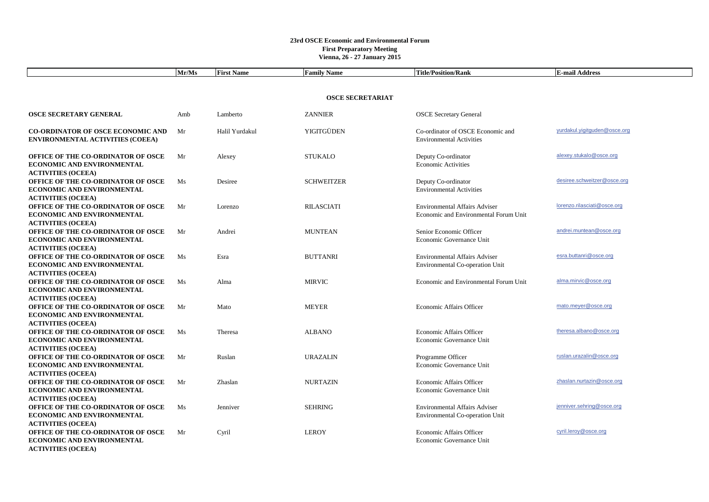|                                                                                                             | Mr/Ms | <b>First Name</b> | <b>Family Name</b> | <b>Title/Position/Rank</b>                                                    | <b>E-mail Address</b>        |  |
|-------------------------------------------------------------------------------------------------------------|-------|-------------------|--------------------|-------------------------------------------------------------------------------|------------------------------|--|
|                                                                                                             |       |                   |                    |                                                                               |                              |  |
| <b>OSCE SECRETARIAT</b>                                                                                     |       |                   |                    |                                                                               |                              |  |
| <b>OSCE SECRETARY GENERAL</b>                                                                               | Amb   | Lamberto          | <b>ZANNIER</b>     | <b>OSCE</b> Secretary General                                                 |                              |  |
| <b>CO-ORDINATOR OF OSCE ECONOMIC AND</b><br><b>ENVIRONMENTAL ACTIVITIES (COEEA)</b>                         | Mr    | Halil Yurdakul    | YIGITGÜDEN         | Co-ordinator of OSCE Economic and<br><b>Environmental Activities</b>          | yurdakul.yigitguden@osce.org |  |
| OFFICE OF THE CO-ORDINATOR OF OSCE<br><b>ECONOMIC AND ENVIRONMENTAL</b><br><b>ACTIVITIES (OCEEA)</b>        | Mr    | Alexey            | <b>STUKALO</b>     | Deputy Co-ordinator<br><b>Economic Activities</b>                             | alexey.stukalo@osce.org      |  |
| OFFICE OF THE CO-ORDINATOR OF OSCE<br>ECONOMIC AND ENVIRONMENTAL<br><b>ACTIVITIES (OCEEA)</b>               | Ms    | Desiree           | <b>SCHWEITZER</b>  | Deputy Co-ordinator<br><b>Environmental Activities</b>                        | desiree.schweitzer@osce.org  |  |
| <b>OFFICE OF THE CO-ORDINATOR OF OSCE</b><br><b>ECONOMIC AND ENVIRONMENTAL</b><br><b>ACTIVITIES (OCEEA)</b> | Mr    | Lorenzo           | <b>RILASCIATI</b>  | <b>Environmental Affairs Adviser</b><br>Economic and Environmental Forum Unit | lorenzo.rilasciati@osce.org  |  |
| <b>OFFICE OF THE CO-ORDINATOR OF OSCE</b><br>ECONOMIC AND ENVIRONMENTAL<br><b>ACTIVITIES (OCEEA)</b>        | Mr    | Andrei            | <b>MUNTEAN</b>     | Senior Economic Officer<br>Economic Governance Unit                           | andrei.muntean@osce.org      |  |
| OFFICE OF THE CO-ORDINATOR OF OSCE<br><b>ECONOMIC AND ENVIRONMENTAL</b><br><b>ACTIVITIES (OCEEA)</b>        | Ms    | Esra              | <b>BUTTANRI</b>    | <b>Environmental Affairs Adviser</b><br>Environmental Co-operation Unit       | esra.buttanri@osce.org       |  |
| OFFICE OF THE CO-ORDINATOR OF OSCE<br><b>ECONOMIC AND ENVIRONMENTAL</b><br><b>ACTIVITIES (OCEEA)</b>        | Ms    | Alma              | <b>MIRVIC</b>      | Economic and Environmental Forum Unit                                         | alma.mirvic@osce.org         |  |
| OFFICE OF THE CO-ORDINATOR OF OSCE<br><b>ECONOMIC AND ENVIRONMENTAL</b><br><b>ACTIVITIES (OCEEA)</b>        | Mr    | Mato              | <b>MEYER</b>       | Economic Affairs Officer                                                      | mato.meyer@osce.org          |  |
| <b>OFFICE OF THE CO-ORDINATOR OF OSCE</b><br>ECONOMIC AND ENVIRONMENTAL<br><b>ACTIVITIES (OCEEA)</b>        | Ms    | Theresa           | <b>ALBANO</b>      | <b>Economic Affairs Officer</b><br>Economic Governance Unit                   | theresa.albano@osce.org      |  |
| <b>OFFICE OF THE CO-ORDINATOR OF OSCE</b><br>ECONOMIC AND ENVIRONMENTAL<br><b>ACTIVITIES (OCEEA)</b>        | Mr    | Ruslan            | <b>URAZALIN</b>    | Programme Officer<br>Economic Governance Unit                                 | ruslan.urazalin@osce.org     |  |
| <b>OFFICE OF THE CO-ORDINATOR OF OSCE</b><br>ECONOMIC AND ENVIRONMENTAL<br><b>ACTIVITIES (OCEEA)</b>        | Mr    | Zhaslan           | <b>NURTAZIN</b>    | <b>Economic Affairs Officer</b><br>Economic Governance Unit                   | zhaslan.nurtazin@osce.org    |  |
| OFFICE OF THE CO-ORDINATOR OF OSCE<br>ECONOMIC AND ENVIRONMENTAL<br><b>ACTIVITIES (OCEEA)</b>               | Ms    | Jenniver          | <b>SEHRING</b>     | <b>Environmental Affairs Adviser</b><br>Environmental Co-operation Unit       | jenniver.sehring@osce.org    |  |
| OFFICE OF THE CO-ORDINATOR OF OSCE<br><b>ECONOMIC AND ENVIRONMENTAL</b><br><b>ACTIVITIES (OCEEA)</b>        | Mr    | Cyril             | <b>LEROY</b>       | Economic Affairs Officer<br>Economic Governance Unit                          | cyril.leroy@osce.org         |  |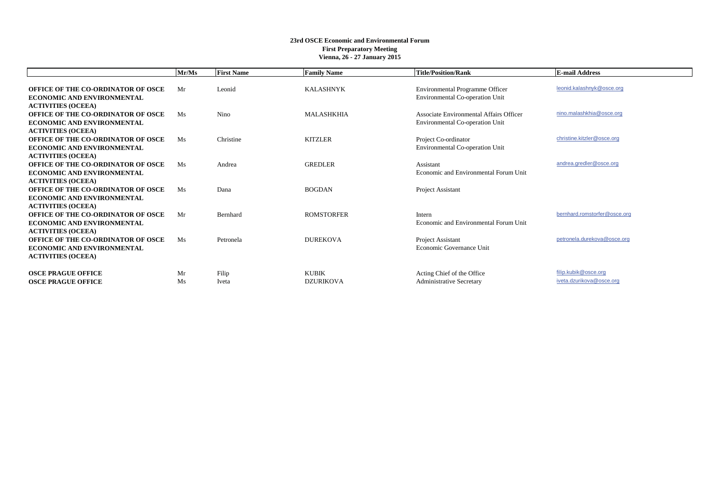|                                                                                                             | Mr/Ms    | <b>First Name</b> | <b>Family Name</b>               | <b>Title/Position/Rank</b>                                                 | <b>E-mail Address</b>                            |
|-------------------------------------------------------------------------------------------------------------|----------|-------------------|----------------------------------|----------------------------------------------------------------------------|--------------------------------------------------|
| <b>OFFICE OF THE CO-ORDINATOR OF OSCE</b><br><b>ECONOMIC AND ENVIRONMENTAL</b><br><b>ACTIVITIES (OCEEA)</b> | Mr       | Leonid            | <b>KALASHNYK</b>                 | Environmental Programme Officer<br>Environmental Co-operation Unit         | leonid.kalashnyk@osce.org                        |
| <b>OFFICE OF THE CO-ORDINATOR OF OSCE</b><br><b>ECONOMIC AND ENVIRONMENTAL</b><br><b>ACTIVITIES (OCEEA)</b> | Ms       | Nino              | <b>MALASHKHIA</b>                | Associate Environmental Affairs Officer<br>Environmental Co-operation Unit | nino.malashkhia@osce.org                         |
| <b>OFFICE OF THE CO-ORDINATOR OF OSCE</b><br><b>ECONOMIC AND ENVIRONMENTAL</b><br><b>ACTIVITIES (OCEEA)</b> | Ms       | Christine         | <b>KITZLER</b>                   | Project Co-ordinator<br>Environmental Co-operation Unit                    | christine.kitzler@osce.org                       |
| <b>OFFICE OF THE CO-ORDINATOR OF OSCE</b><br><b>ECONOMIC AND ENVIRONMENTAL</b><br><b>ACTIVITIES (OCEEA)</b> | Ms       | Andrea            | <b>GREDLER</b>                   | Assistant<br>Economic and Environmental Forum Unit                         | andrea.gredler@osce.org                          |
| <b>OFFICE OF THE CO-ORDINATOR OF OSCE</b><br><b>ECONOMIC AND ENVIRONMENTAL</b><br><b>ACTIVITIES (OCEEA)</b> | Ms       | Dana              | <b>BOGDAN</b>                    | Project Assistant                                                          |                                                  |
| <b>OFFICE OF THE CO-ORDINATOR OF OSCE</b><br><b>ECONOMIC AND ENVIRONMENTAL</b><br><b>ACTIVITIES (OCEEA)</b> | Mr       | Bernhard          | <b>ROMSTORFER</b>                | Intern<br>Economic and Environmental Forum Unit                            | bernhard.romstorfer@osce.org                     |
| <b>OFFICE OF THE CO-ORDINATOR OF OSCE</b><br><b>ECONOMIC AND ENVIRONMENTAL</b><br><b>ACTIVITIES (OCEEA)</b> | Ms       | Petronela         | <b>DUREKOVA</b>                  | Project Assistant<br>Economic Governance Unit                              | petronela.durekova@osce.org                      |
| <b>OSCE PRAGUE OFFICE</b><br><b>OSCE PRAGUE OFFICE</b>                                                      | Mr<br>Ms | Filip<br>Iveta    | <b>KUBIK</b><br><b>DZURIKOVA</b> | Acting Chief of the Office<br><b>Administrative Secretary</b>              | filip.kubik@osce.org<br>iveta.dzurikova@osce.org |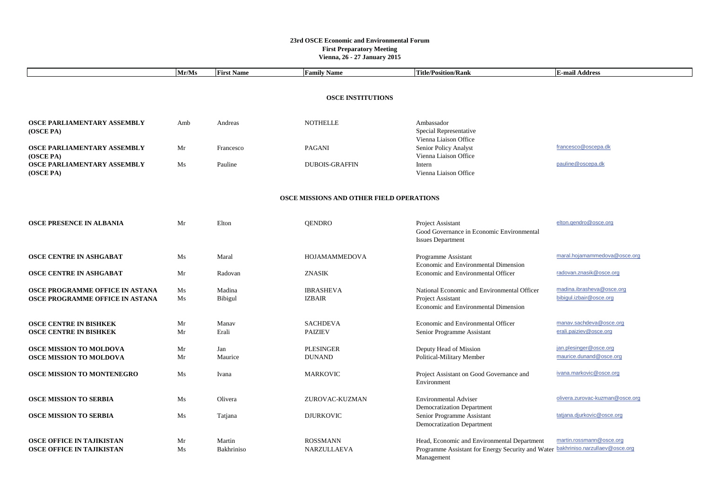|                                                                      | Mr/Ms    | <b>First Name</b>        | <b>Family Name</b>                | <b>Title/Position/Rank</b>                                                                                                                    | <b>E-mail Address</b>                                |  |  |
|----------------------------------------------------------------------|----------|--------------------------|-----------------------------------|-----------------------------------------------------------------------------------------------------------------------------------------------|------------------------------------------------------|--|--|
|                                                                      |          |                          |                                   |                                                                                                                                               |                                                      |  |  |
| <b>OSCE INSTITUTIONS</b>                                             |          |                          |                                   |                                                                                                                                               |                                                      |  |  |
|                                                                      |          |                          |                                   |                                                                                                                                               |                                                      |  |  |
| OSCE PARLIAMENTARY ASSEMBLY<br>(OSCE PA)                             | Amb      | Andreas                  | <b>NOTHELLE</b>                   | Ambassador<br>Special Representative<br>Vienna Liaison Office                                                                                 |                                                      |  |  |
| OSCE PARLIAMENTARY ASSEMBLY<br>(OSCE PA)                             | Mr       | Francesco                | <b>PAGANI</b>                     | Senior Policy Analyst<br>Vienna Liaison Office                                                                                                | francesco@oscepa.dk                                  |  |  |
| OSCE PARLIAMENTARY ASSEMBLY<br>(OSCE PA)                             | Ms       | Pauline                  | <b>DUBOIS-GRAFFIN</b>             | Intern<br>Vienna Liaison Office                                                                                                               | pauline@oscepa.dk                                    |  |  |
| OSCE MISSIONS AND OTHER FIELD OPERATIONS                             |          |                          |                                   |                                                                                                                                               |                                                      |  |  |
| <b>OSCE PRESENCE IN ALBANIA</b>                                      | Mr       | Elton                    | <b>OENDRO</b>                     | Project Assistant<br>Good Governance in Economic Environmental<br><b>Issues Department</b>                                                    | elton.qendro@osce.org                                |  |  |
| <b>OSCE CENTRE IN ASHGABAT</b>                                       | Ms       | Maral                    | HOJAMAMMEDOVA                     | Programme Assistant<br>Economic and Environmental Dimension                                                                                   | maral.hojamammedova@osce.org                         |  |  |
| <b>OSCE CENTRE IN ASHGABAT</b>                                       | Mr       | Radovan                  | <b>ZNASIK</b>                     | Economic and Environmental Officer                                                                                                            | radovan.znasik@osce.org                              |  |  |
| OSCE PROGRAMME OFFICE IN ASTANA<br>OSCE PROGRAMME OFFICE IN ASTANA   | Ms<br>Ms | Madina<br><b>Bibigul</b> | <b>IBRASHEVA</b><br><b>IZBAIR</b> | National Economic and Environmental Officer<br>Project Assistant<br>Economic and Environmental Dimension                                      | madina.ibrasheva@osce.org<br>bibiqul.izbair@osce.org |  |  |
| <b>OSCE CENTRE IN BISHKEK</b><br><b>OSCE CENTRE IN BISHKEK</b>       | Mr<br>Mr | Manav<br>Erali           | <b>SACHDEVA</b><br><b>PAIZIEV</b> | Economic and Environmental Officer<br>Senior Programme Assistant                                                                              | manav.sachdeva@osce.org<br>erali.paiziev@osce.org    |  |  |
| <b>OSCE MISSION TO MOLDOVA</b><br>OSCE MISSION TO MOLDOVA            | Mr<br>Mr | Jan<br>Maurice           | PLESINGER<br><b>DUNAND</b>        | Deputy Head of Mission<br>Political-Military Member                                                                                           | jan.plesinger@osce.org<br>maurice.dunand@osce.org    |  |  |
| OSCE MISSION TO MONTENEGRO                                           | Ms       | Ivana                    | <b>MARKOVIC</b>                   | Project Assistant on Good Governance and<br>Environment                                                                                       | ivana.markovic@osce.org                              |  |  |
| <b>OSCE MISSION TO SERBIA</b>                                        | Ms       | Olivera                  | ZUROVAC-KUZMAN                    | <b>Environmental Adviser</b><br><b>Democratization Department</b>                                                                             | olivera.zurovac-kuzman@osce.org                      |  |  |
| <b>OSCE MISSION TO SERBIA</b>                                        | Ms       | Tatjana                  | <b>DJURKOVIC</b>                  | Senior Programme Assistant<br>Democratization Department                                                                                      | tatjana.djurkovic@osce.org                           |  |  |
| <b>OSCE OFFICE IN TAJIKISTAN</b><br><b>OSCE OFFICE IN TAJIKISTAN</b> | Mr<br>Ms | Martin<br>Bakhriniso     | <b>ROSSMANN</b><br>NARZULLAEVA    | Head, Economic and Environmental Department<br>Programme Assistant for Energy Security and Water bakhriniso.narzullaev@osce.org<br>Management | martin.rossmann@osce.org                             |  |  |